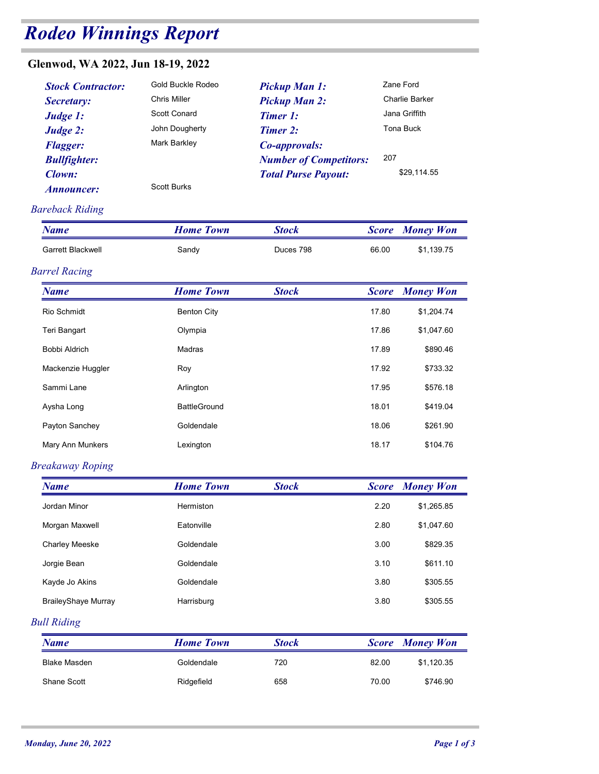# Rodeo Winnings Report

## Glenwod, WA 2022, Jun 18-19, 2022

| odeo Winnings Report                                                                                                                                     |                                                                                                                                       |                                                                                                                                                             |              |                                                                                 |
|----------------------------------------------------------------------------------------------------------------------------------------------------------|---------------------------------------------------------------------------------------------------------------------------------------|-------------------------------------------------------------------------------------------------------------------------------------------------------------|--------------|---------------------------------------------------------------------------------|
| enwod, WA 2022, Jun 18-19, 2022                                                                                                                          |                                                                                                                                       |                                                                                                                                                             |              |                                                                                 |
| <b>Stock Contractor:</b><br>Secretary:<br>Judge 1:<br>Judge 2:<br><b>Flagger:</b><br><b>Bullfighter:</b><br><b>Clown:</b><br>Announcer:<br>reback Riding | <b>Gold Buckle Rodeo</b><br><b>Chris Miller</b><br><b>Scott Conard</b><br>John Dougherty<br><b>Mark Barkley</b><br><b>Scott Burks</b> | <b>Pickup Man 1:</b><br><b>Pickup Man 2:</b><br><b>Timer 1:</b><br>Timer 2:<br>Co-approvals:<br><b>Number of Competitors:</b><br><b>Total Purse Payout:</b> | 207          | Zane Ford<br><b>Charlie Barker</b><br>Jana Griffith<br>Tona Buck<br>\$29,114.55 |
| <b>Name</b>                                                                                                                                              | <b>Home Town</b>                                                                                                                      | <b>Stock</b>                                                                                                                                                | <b>Score</b> | <b>Money Won</b>                                                                |
| <b>Garrett Blackwell</b>                                                                                                                                 | Sandy                                                                                                                                 | Duces 798                                                                                                                                                   | 66.00        | \$1,139.75                                                                      |
| rrel Racing                                                                                                                                              |                                                                                                                                       |                                                                                                                                                             |              |                                                                                 |
| <b>Name</b>                                                                                                                                              | <b>Home Town</b>                                                                                                                      | <b>Stock</b>                                                                                                                                                | <b>Score</b> | <b>Money Won</b>                                                                |
| Rio Schmidt                                                                                                                                              | <b>Renton City</b>                                                                                                                    |                                                                                                                                                             | 17.80        | \$1 204 74                                                                      |

#### Bareback Riding

| Glenwod, WA 2022, Jun 18-19, 2022<br><b>Stock Contractor:</b><br>Secretary:<br>Judge 1:<br>Judge 2: | Gold Buckle Rodeo<br>Chris Miller<br>Scott Conard | <b>Pickup Man 1:</b><br><b>Pickup Man 2:</b>                                                                       |              | Zane Ford                                                   |
|-----------------------------------------------------------------------------------------------------|---------------------------------------------------|--------------------------------------------------------------------------------------------------------------------|--------------|-------------------------------------------------------------|
| <b>Flagger:</b><br><b>Bullfighter:</b><br>Clown:<br>Announcer:                                      | John Dougherty<br>Mark Barkley<br>Scott Burks     | <b>Timer 1:</b><br><b>Timer 2:</b><br>Co-approvals:<br><b>Number of Competitors:</b><br><b>Total Purse Payout:</b> | 207          | Charlie Barker<br>Jana Griffith<br>Tona Buck<br>\$29,114.55 |
| <b>Bareback Riding</b>                                                                              |                                                   |                                                                                                                    |              |                                                             |
| <b>Name</b>                                                                                         | <b>Home Town</b>                                  | <b>Stock</b>                                                                                                       | <b>Score</b> | <b>Money Won</b>                                            |
| Garrett Blackwell                                                                                   | Sandy                                             | Duces 798                                                                                                          | 66.00        | \$1,139.75                                                  |
| <b>Barrel Racing</b>                                                                                |                                                   |                                                                                                                    |              |                                                             |
| <b>Name</b>                                                                                         | <b>Home Town</b>                                  | <b>Stock</b>                                                                                                       | <b>Score</b> | <b>Money Won</b>                                            |
| Rio Schmidt                                                                                         | <b>Benton City</b>                                |                                                                                                                    | 17.80        | \$1,204.74                                                  |
| Teri Bangart                                                                                        | Olympia                                           |                                                                                                                    | 17.86        | \$1,047.60                                                  |
| Bobbi Aldrich                                                                                       | Madras                                            |                                                                                                                    | 17.89        | \$890.46                                                    |
| Mackenzie Huggler                                                                                   | Roy                                               |                                                                                                                    | 17.92        | \$733.32                                                    |
| Sammi Lane                                                                                          | Arlington                                         |                                                                                                                    | 17.95        | \$576.18                                                    |
| Aysha Long                                                                                          | <b>BattleGround</b>                               |                                                                                                                    | 18.01        | \$419.04                                                    |
| Payton Sanchey                                                                                      | Goldendale                                        |                                                                                                                    | 18.06        | \$261.90                                                    |
| Mary Ann Munkers                                                                                    | Lexington                                         |                                                                                                                    | 18.17        | \$104.76                                                    |
| <b>Breakaway Roping</b>                                                                             |                                                   |                                                                                                                    |              |                                                             |
| <b>Name</b>                                                                                         | <b>Home Town</b>                                  | <b>Stock</b>                                                                                                       | <b>Score</b> | <b>Money Won</b>                                            |
| Jordan Minor                                                                                        | Hermiston                                         |                                                                                                                    | 2.20         | \$1,265.85                                                  |
| Morgan Maxwell                                                                                      | Eatonville                                        |                                                                                                                    | 2.80         | \$1,047.60                                                  |
| Charley Meeske                                                                                      | Goldendale                                        |                                                                                                                    | 3.00         | \$829.35                                                    |
| Jorgie Bean                                                                                         | Goldendale                                        |                                                                                                                    | 3.10         | \$611.10                                                    |
| Kayde Jo Akins                                                                                      | Goldendale                                        |                                                                                                                    | 3.80         | \$305.55                                                    |
| <b>BraileyShaye Murray</b>                                                                          | Harrisburg                                        |                                                                                                                    | 3.80         | \$305.55                                                    |
| <b>Bull Riding</b>                                                                                  |                                                   |                                                                                                                    |              |                                                             |
| <b>Name</b>                                                                                         | <b>Home Town</b>                                  | <b>Stock</b>                                                                                                       | <b>Score</b> | <b>Money Won</b>                                            |
| <b>Blake Masden</b>                                                                                 | Goldendale                                        | 720                                                                                                                | 82.00        | \$1,120.35                                                  |
| Shane Scott                                                                                         | Ridgefield                                        | 658                                                                                                                | 70.00        | \$746.90                                                    |
|                                                                                                     |                                                   |                                                                                                                    |              |                                                             |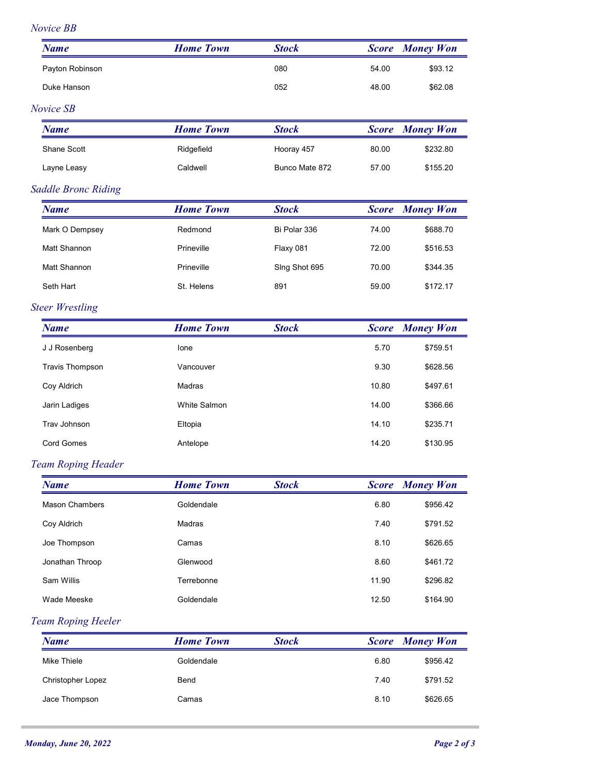#### Novice BB

| Novice BB<br><b>Name</b>                                       |                  |                |              |                        |
|----------------------------------------------------------------|------------------|----------------|--------------|------------------------|
|                                                                |                  |                |              |                        |
|                                                                | <b>Home Town</b> | <b>Stock</b>   | <b>Score</b> | <b>Money Won</b>       |
| Payton Robinson                                                |                  | 080            | 54.00        | \$93.12                |
| Duke Hanson                                                    |                  | 052            | 48.00        | \$62.08                |
| Novice SB                                                      |                  |                |              |                        |
| <b>Name</b>                                                    | <b>Home Town</b> | <b>Stock</b>   |              | <b>Score Money Won</b> |
| Shane Scott                                                    | Ridgefield       | Hooray 457     | 80.00        | \$232.80               |
| Layne Leasy                                                    | Caldwell         | Bunco Mate 872 | 57.00        | \$155.20               |
| <b>Saddle Bronc Riding</b>                                     |                  |                |              |                        |
| <b>Name</b>                                                    | <b>Home Town</b> | <b>Stock</b>   | <b>Score</b> | <b>Money Won</b>       |
| Mark O Dempsey                                                 | Redmond          | Bi Polar 336   | 74.00        | \$688.70               |
| Matt Shannon                                                   | Prineville       | Flaxy 081      | 72.00        | \$516.53               |
| Matt Shannon                                                   | Prineville       | Sing Shot 695  | 70.00        | \$344.35               |
| Seth Hart                                                      | St. Helens       | 891            | 59.00        | \$172.17               |
| <b>Steer Wrestling</b>                                         |                  |                |              |                        |
| <b>Name</b>                                                    | <b>Home Town</b> | <b>Stock</b>   |              | <b>Score Money Won</b> |
| J J Rosenberg                                                  | Ione             |                | 5.70         | \$759.51               |
| <b>Travis Thompson</b>                                         | Vancouver        |                | 9.30         | \$628.56               |
| Coy Aldrich                                                    | Madras           |                | 10.80        | \$497.61               |
| Jarin Ladiges                                                  | White Salmon     |                | 14.00        | \$366.66               |
|                                                                |                  |                | 14.10        | \$235.71               |
| Trav Johnson                                                   | Eltopia          |                |              |                        |
| Cord Gomes                                                     | Antelope         |                | 14.20        | \$130.95               |
|                                                                |                  |                |              |                        |
| <b>Name</b>                                                    | <b>Home Town</b> | <b>Stock</b>   |              | <b>Score Money Won</b> |
| Mason Chambers                                                 | Goldendale       |                | 6.80         | \$956.42               |
| Coy Aldrich                                                    | Madras           |                | 7.40         | \$791.52               |
| Joe Thompson                                                   | Camas            |                | 8.10         | \$626.65               |
| Jonathan Throop                                                | Glenwood         |                | 8.60         | \$461.72               |
| Sam Willis                                                     | Terrebonne       |                | 11.90        | \$296.82               |
| Wade Meeske                                                    | Goldendale       |                | 12.50        | \$164.90               |
|                                                                |                  |                |              |                        |
| <b>Team Roping Header</b><br>Team Roping Heeler<br><b>Name</b> | <b>Home Town</b> | <b>Stock</b>   | <b>Score</b> | <b>Money Won</b>       |
| Mike Thiele                                                    | Goldendale       |                | 6.80         | \$956.42               |
| Christopher Lopez                                              | Bend             |                | 7.40         | \$791.52               |
| Jace Thompson                                                  | Camas            |                | 8.10         | \$626.65               |